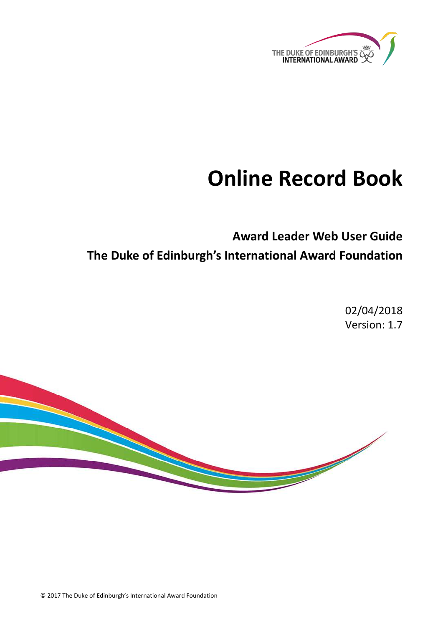

# **Online Record Book**

**Award Leader Web User Guide The Duke of Edinburgh's International Award Foundation**

> 02/04/2018 Version: 1.7



© 2017 The Duke of Edinburgh's International Award Foundation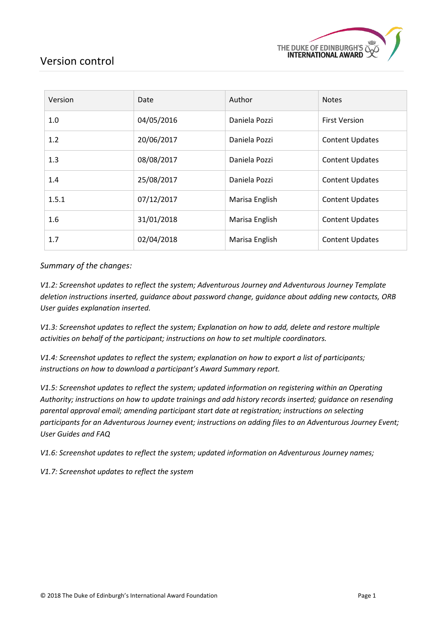

### <span id="page-1-0"></span>Version control

| Version | Date       | Author         | <b>Notes</b>           |
|---------|------------|----------------|------------------------|
| 1.0     | 04/05/2016 | Daniela Pozzi  | <b>First Version</b>   |
| 1.2     | 20/06/2017 | Daniela Pozzi  | <b>Content Updates</b> |
| 1.3     | 08/08/2017 | Daniela Pozzi  | <b>Content Updates</b> |
| 1.4     | 25/08/2017 | Daniela Pozzi  | <b>Content Updates</b> |
| 1.5.1   | 07/12/2017 | Marisa English | <b>Content Updates</b> |
| 1.6     | 31/01/2018 | Marisa English | <b>Content Updates</b> |
| 1.7     | 02/04/2018 | Marisa English | <b>Content Updates</b> |

*Summary of the changes:*

*V1.2: Screenshot updates to reflect the system; Adventurous Journey and Adventurous Journey Template deletion instructions inserted, guidance about password change, guidance about adding new contacts, ORB User guides explanation inserted.*

*V1.3: Screenshot updates to reflect the system; Explanation on how to add, delete and restore multiple activities on behalf of the participant; instructions on how to set multiple coordinators.*

*V1.4: Screenshot updates to reflect the system; explanation on how to export a list of participants; instructions on how to download a participant's Award Summary report.*

*V1.5: Screenshot updates to reflect the system; updated information on registering within an Operating Authority; instructions on how to update trainings and add history records inserted; guidance on resending parental approval email; amending participant start date at registration; instructions on selecting participants for an Adventurous Journey event; instructions on adding files to an Adventurous Journey Event; User Guides and FAQ*

*V1.6: Screenshot updates to reflect the system; updated information on Adventurous Journey names;* 

*V1.7: Screenshot updates to reflect the system*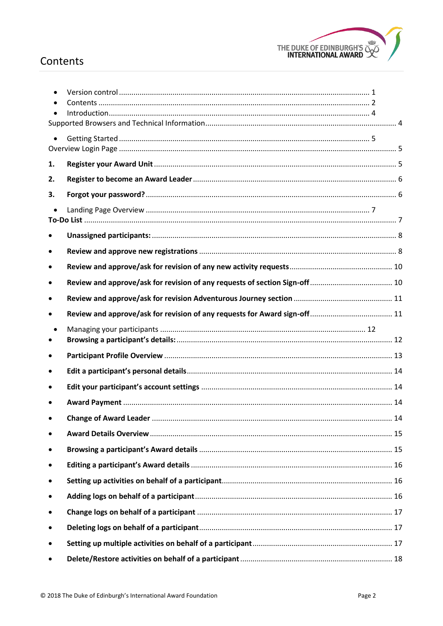

## <span id="page-2-0"></span>Contents

| 1.        |  |
|-----------|--|
| 2.        |  |
| 3.        |  |
|           |  |
|           |  |
|           |  |
| $\bullet$ |  |
|           |  |
|           |  |
| $\bullet$ |  |
|           |  |
| ٠         |  |
|           |  |
|           |  |
|           |  |
|           |  |
|           |  |
| ٠         |  |
| ٠         |  |
| ٠         |  |
|           |  |
| ٠         |  |
| ٠         |  |
|           |  |
|           |  |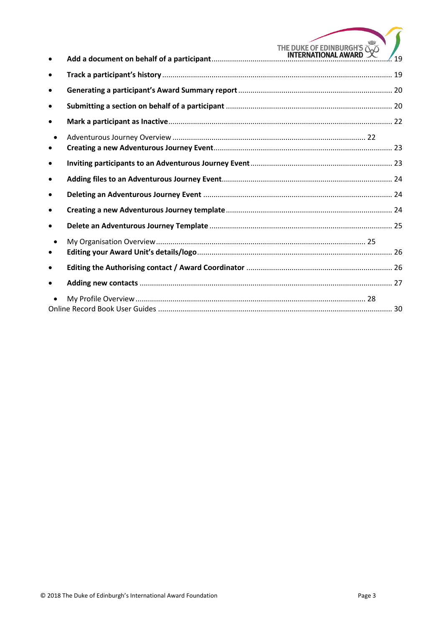| $\bullet$              | THE DUKE OF EDINBURGH'S<br>MTERNATIONAL AWARD | 19 |
|------------------------|-----------------------------------------------|----|
| $\bullet$              |                                               |    |
| $\bullet$              |                                               |    |
| $\bullet$              |                                               |    |
| $\bullet$              |                                               |    |
| $\bullet$<br>$\bullet$ |                                               |    |
| $\bullet$              |                                               |    |
| $\bullet$              |                                               |    |
| $\bullet$              |                                               |    |
| $\bullet$              |                                               |    |
| $\bullet$              |                                               |    |
| $\bullet$<br>$\bullet$ |                                               |    |
| $\bullet$              |                                               |    |
| $\bullet$              |                                               |    |
|                        |                                               |    |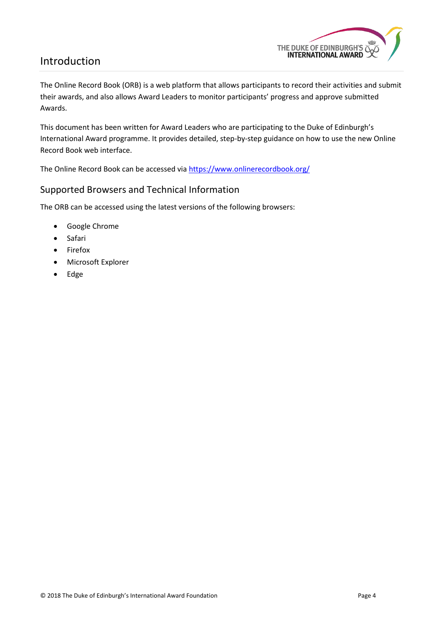### <span id="page-4-0"></span>Introduction



The Online Record Book (ORB) is a web platform that allows participants to record their activities and submit their awards, and also allows Award Leaders to monitor participants' progress and approve submitted Awards.

This document has been written for Award Leaders who are participating to the Duke of Edinburgh's International Award programme. It provides detailed, step-by-step guidance on how to use the new Online Record Book web interface.

The Online Record Book can be accessed vi[a https://www.onlinerecordbook.org/](https://www.onlinerecordbook.org/)

### <span id="page-4-1"></span>Supported Browsers and Technical Information

The ORB can be accessed using the latest versions of the following browsers:

- Google Chrome
- Safari
- Firefox
- Microsoft Explorer
- Edge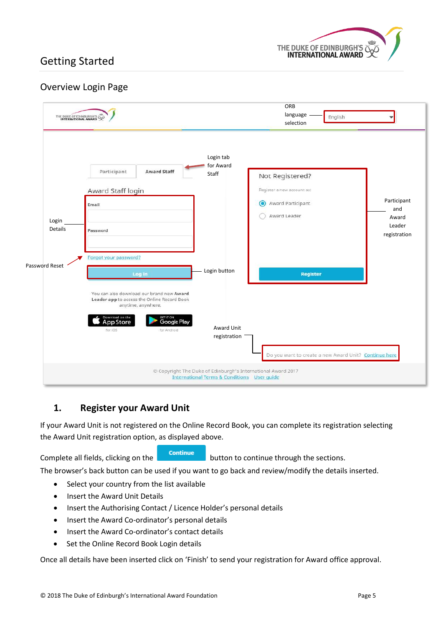

## <span id="page-5-0"></span>Getting Started

### <span id="page-5-1"></span>Overview Login Page

|                         | THE DUKE OF EDINBURGH'S                                                                                                                                        |                                                                                                                        | ORB<br>language<br>English<br>selection                                                       |                                                       |
|-------------------------|----------------------------------------------------------------------------------------------------------------------------------------------------------------|------------------------------------------------------------------------------------------------------------------------|-----------------------------------------------------------------------------------------------|-------------------------------------------------------|
| Login<br><b>Details</b> | Participant<br><b>Award Staff</b><br>Award Staff login<br>Email<br>Password                                                                                    | Login tab<br>for Award<br><b>Staff</b>                                                                                 | Not Registered?<br>Register a new account as:<br>Award Participant<br>$\odot$<br>Award Leader | Participant<br>and<br>Award<br>Leader<br>registration |
| Password Reset          | Forgot your password?<br>Log in<br>You can also download our brand new Award                                                                                   | Login button                                                                                                           | <b>Register</b>                                                                               |                                                       |
|                         | Leader app to access the Online Record Book<br>anytime, anywhere.<br>Download on the<br>App Store<br>GET IT ON<br><b>Google Play</b><br>for iOS<br>for Android | Award Unit<br>registration                                                                                             | Do you want to create a new Award Unit? Continue here                                         |                                                       |
|                         |                                                                                                                                                                | © Copyright The Duke of Edinburgh's International Award 2017<br><b>International Terms &amp; Conditions User guide</b> |                                                                                               |                                                       |

### <span id="page-5-2"></span>**1. Register your Award Unit**

If your Award Unit is not registered on the Online Record Book, you can complete its registration selecting the Award Unit registration option, as displayed above.

Complete all fields, clicking on the **continue** button to continue through the sections.

The browser's back button can be used if you want to go back and review/modify the details inserted.

- Select your country from the list available
- Insert the Award Unit Details
- Insert the Authorising Contact / Licence Holder's personal details
- Insert the Award Co-ordinator's personal details
- Insert the Award Co-ordinator's contact details
- Set the Online Record Book Login details

Once all details have been inserted click on 'Finish' to send your registration for Award office approval.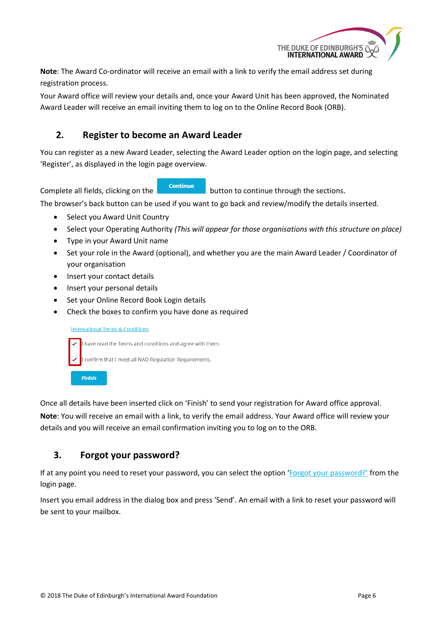

**Note**: The Award Co-ordinator will receive an email with a link to verify the email address set during registration process.

Your Award office will review your details and, once your Award Unit has been approved, the Nominated Award Leader will receive an email inviting them to log on to the Online Record Book (ORB).

### <span id="page-6-0"></span>**2. Register to become an Award Leader**

You can register as a new Award Leader, selecting the Award Leader option on the login page, and selecting 'Register', as displayed in the login page overview.

Complete all fields, clicking on the **continue** button to continue through the sections.

The browser's back button can be used if you want to go back and review/modify the details inserted.

- Select you Award Unit Country
- Select your Operating Authority *(This will appear for those organisations with this structure on place)*
- Type in your Award Unit name
- Set your role in the Award (optional), and whether you are the main Award Leader / Coordinator of your organisation
- Insert your contact details
- Insert your personal details
- Set your Online Record Book Login details
- Check the boxes to confirm you have done as required

#### **International Terms & Conditions**

I have read the Terms and conditions and agree with them. confirm that I meet all NAO Regulation Requirements. Finish

Once all details have been inserted click on 'Finish' to send your registration for Award office approval.

**Note**: You will receive an email with a link, to verify the email address. Your Award office will review your details and you will receive an email confirmation inviting you to log on to the ORB.

### <span id="page-6-1"></span>**3. Forgot your password?**

If at any point you need to reset your password, you can select the option 'Forgot your password?' from the login page.

Insert you email address in the dialog box and press 'Send'. An email with a link to reset your password will be sent to your mailbox.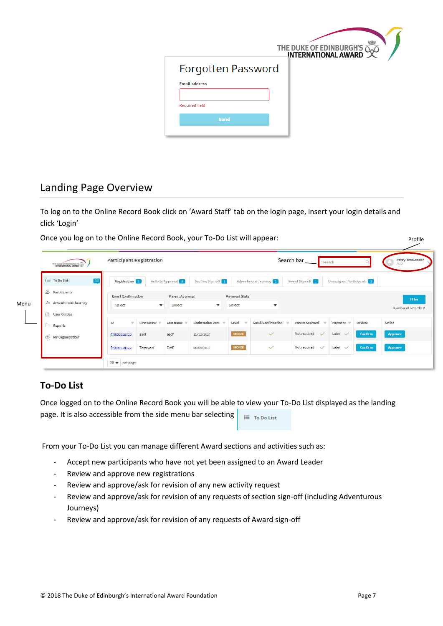

## <span id="page-7-0"></span>Landing Page Overview

To log on to the Online Record Book click on 'Award Staff' tab on the login page, insert your login details and click 'Login'

Once you log on to the Online Record Book, your To-Do List will appear:

| 16<br>: To Do List        | Registration 2     |             | Activity Approval 83 | Section Sign-off <sup>10</sup> |               | Adventurous Journey       | Award Sign-off               | Unassigned Participants 22 |         |                      |
|---------------------------|--------------------|-------------|----------------------|--------------------------------|---------------|---------------------------|------------------------------|----------------------------|---------|----------------------|
| <sup>2</sup> Participants | Email Confirmation |             | Parent Approval      |                                | Payment State |                           |                              |                            |         | <b>Filter</b>        |
| Adventurous Journey       | Select             | $\mathbf v$ | Select               | $\mathbf{v}$                   | select        | $\overline{\mathbf{v}}$   |                              |                            |         | Number of records: 2 |
| <b>User Guides</b>        |                    |             |                      |                                |               |                           |                              |                            |         |                      |
| Reports                   | ID<br>w            | First Name  | Last Name            | <b>Registration Date</b>       | Level         | <b>Email Confirmation</b> | Parent Approval              | Payment                    | Review  | Action               |
| 砂<br>My Organisation      | PN000052738        | asdf        | asdf.                | 15/11/2017                     | ERONTE        | $\checkmark$              | Not required<br>$\checkmark$ | Later<br>$\checkmark$      | Confirm | Approve              |
|                           | PN000124522        | Testovací   | DofE                 | 06/09/2017                     | BRONZE        | Š.                        | Not required<br>$\prec'$     | Later<br>$\checkmark$      | Confirm | Approve              |

### <span id="page-7-1"></span>**To-Do List**

Once logged on to the Online Record Book you will be able to view your To-Do List displayed as the landing page. It is also accessible from the side menu bar selecting  $\equiv$  To Do List

From your To-Do List you can manage different Award sections and activities such as:

- Accept new participants who have not yet been assigned to an Award Leader
- Review and approve new registrations
- Review and approve/ask for revision of any new activity request
- Review and approve/ask for revision of any requests of section sign-off (including Adventurous Journeys)
- Review and approve/ask for revision of any requests of Award sign-off

Profile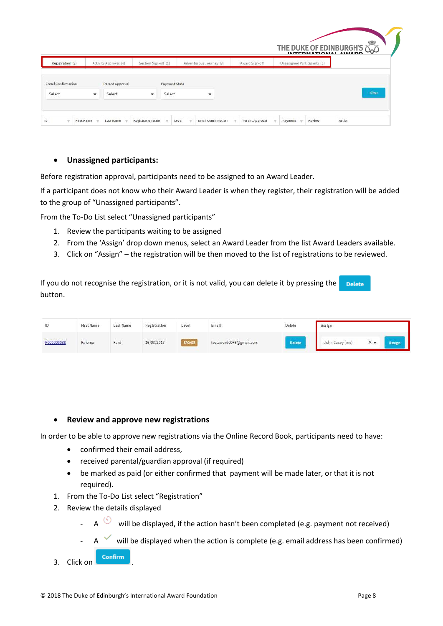|               | Unassigned Participants (2) | Award Sign-off | Adventurous Journey (3)  | Section Sign-off (1)               | Activity Approval (8) |   | Registration (3)    |
|---------------|-----------------------------|----------------|--------------------------|------------------------------------|-----------------------|---|---------------------|
|               |                             |                |                          |                                    |                       |   |                     |
|               |                             |                |                          | Payment State                      | Parent Approval       |   | Email Confirmation  |
| <b>Filter</b> |                             |                | $\overline{\phantom{a}}$ | Select<br>$\overline{\phantom{a}}$ | Select                | ÷ | Select<br>C-2008-00 |

#### <span id="page-8-0"></span>**Unassigned participants:**

Before registration approval, participants need to be assigned to an Award Leader.

If a participant does not know who their Award Leader is when they register, their registration will be added to the group of "Unassigned participants".

From the To-Do List select "Unassigned participants"

- 1. Review the participants waiting to be assigned
- 2. From the 'Assign' drop down menus, select an Award Leader from the list Award Leaders available.
- 3. Click on "Assign" the registration will be then moved to the list of registrations to be reviewed.

If you do not recognise the registration, or it is not valid, you can delete it by pressing the **Delete** button.

| ID         | <b>First Name</b>    | Contact in the leadership and<br><b>Last Name</b> | Registration | <b>ASTRONOMIA</b><br>Level | Emall                   | Delete        | Assign          |          |  |
|------------|----------------------|---------------------------------------------------|--------------|----------------------------|-------------------------|---------------|-----------------|----------|--|
| P000000038 | Paloma<br>---------- | <b>Contract Contract</b><br>Ford                  | 16/03/2017   | BRONZE                     | testaward00+5@gmail.com | <b>Delete</b> | John Casey (me) | $\times$ |  |

#### <span id="page-8-1"></span>**Review and approve new registrations**

In order to be able to approve new registrations via the Online Record Book, participants need to have:

- confirmed their email address,
- received parental/guardian approval (if required)
- be marked as paid (or either confirmed that payment will be made later, or that it is not required).
- 1. From the To-Do List select "Registration"
- 2. Review the details displayed
	- A  $\circledcirc$  will be displayed, if the action hasn't been completed (e.g. payment not received)
	- $A \times$  will be displayed when the action is complete (e.g. email address has been confirmed)
- 3. Click on **Confirm**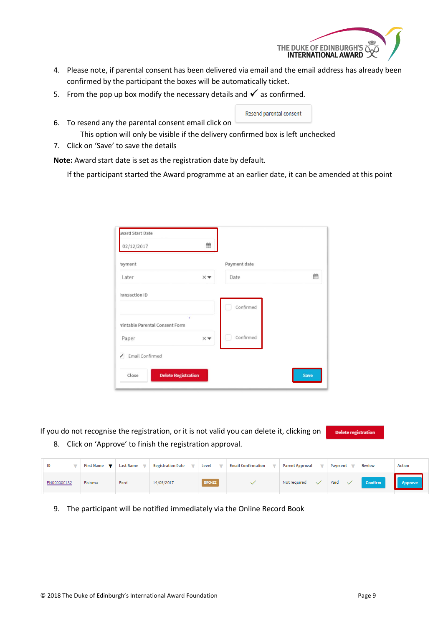

- 4. Please note, if parental consent has been delivered via email and the email address has already been confirmed by the participant the boxes will be automatically ticket.
- 5. From the pop up box modify the necessary details and  $\checkmark$  as confirmed.
- 6. To resend any the parental consent email click on



- This option will only be visible if the delivery confirmed box is left unchecked
- 7. Click on 'Save' to save the details

**Note:** Award start date is set as the registration date by default.

If the participant started the Award programme at an earlier date, it can be amended at this point

| õÔ                            |              |      |
|-------------------------------|--------------|------|
|                               | Payment date |      |
| $\times$ $\blacktriangledown$ | Date         | 鱛    |
|                               |              |      |
|                               | Confirmed    |      |
| ¥                             |              |      |
| $\times\blacktriangledown$    | Confirmed    |      |
|                               |              |      |
| <b>Delete Registration</b>    |              | Save |
|                               |              |      |

If you do not recognise the registration, or it is not valid you can delete it, clicking on Delete registratio

8. Click on 'Approve' to finish the registration approval.

| ID          | First Name $\blacktriangledown$ | <b>Last Name</b> | <b>Registration Date</b><br>$\overline{\phantom{a}}$ | Level         | $\sim$ | <b>Email Confirmation</b> | <b>Parent Approval</b><br>$\overline{\phantom{a}}$ | Payment              | <b>Review</b>  | <b>Action</b>            |
|-------------|---------------------------------|------------------|------------------------------------------------------|---------------|--------|---------------------------|----------------------------------------------------|----------------------|----------------|--------------------------|
| PN000000132 | Paloma                          | Ford             | 14/06/2017                                           | <b>BRONZE</b> |        |                           | Not required                                       | Paid<br>$\checkmark$ | <b>Confirm</b> | <b>Example 2</b> Approve |

9. The participant will be notified immediately via the Online Record Book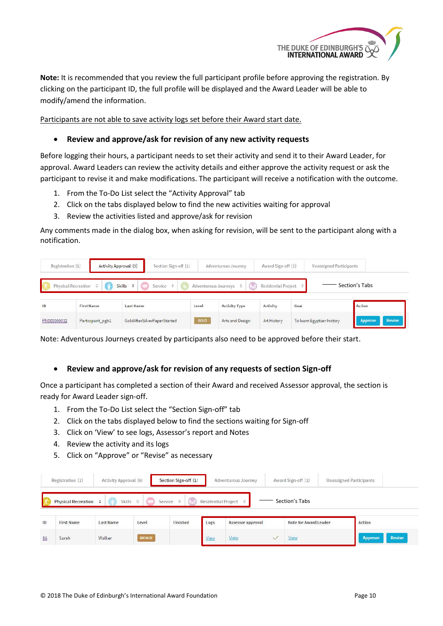

**Note:** It is recommended that you review the full participant profile before approving the registration. By clicking on the participant ID, the full profile will be displayed and the Award Leader will be able to modify/amend the information.

Participants are not able to save activity logs set before their Award start date.

#### <span id="page-10-0"></span>**Review and approve/ask for revision of any new activity requests**

Before logging their hours, a participant needs to set their activity and send it to their Award Leader, for approval. Award Leaders can review the activity details and either approve the activity request or ask the participant to revise it and make modifications. The participant will receive a notification with the outcome.

- 1. From the To-Do List select the "Activity Approval" tab
- 2. Click on the tabs displayed below to find the new activities waiting for approval
- 3. Review the activities listed and approve/ask for revision

Any comments made in the dialog box, when asking for revision, will be sent to the participant along with a notification.

| Registration (1) | Activity Approval (9) | Section Sign-off (1)        |       | Adventurous Journey    | Award Sign-off (1)    | <b>Unassigned Participants</b> |                   |
|------------------|-----------------------|-----------------------------|-------|------------------------|-----------------------|--------------------------------|-------------------|
|                  | Physical Recreation 2 | Skills 3<br>Service 3       |       | Adventurous Journeys 1 | Residential Project 0 |                                | Section's Tabs    |
| ID               | <b>First Name</b>     | Last Name                   | Level | <b>Activity Type</b>   | Activity              | Goal                           | Action            |
| PN000000032      | Participant_pgb1      | GoldAfterSilverPaperStarted | GOLD  | Arts and Design        | Art History           | To learn Egyptian history      | Revise<br>Approve |

Note: Adventurous Journeys created by participants also need to be approved before their start.

#### <span id="page-10-1"></span>**Review and approve/ask for revision of any requests of section Sign-off**

Once a participant has completed a section of their Award and received Assessor approval, the section is ready for Award Leader sign-off.

- 1. From the To-Do List select the "Section Sign-off" tab
- 2. Click on the tabs displayed below to find the sections waiting for Sign-off
- 3. Click on 'View' to see logs, Assessor's report and Notes
- 4. Review the activity and its logs
- 5. Click on "Approve" or "Revise" as necessary

|    | Registration (1)             | Activity Approval (9) |                 | Section Sign-off (1)            |      | Adventurous Journey   |              | Award Sign-off (1)    | Unassigned Participants |                |        |
|----|------------------------------|-----------------------|-----------------|---------------------------------|------|-----------------------|--------------|-----------------------|-------------------------|----------------|--------|
|    | <b>Physical Recreation</b> 1 |                       | Skills 0        | $\pm 3$<br>Service 0            |      | Residential Project 0 |              | Section's Tabs        |                         |                |        |
| ID | <b>First Name</b>            | <b>Last Name</b>      | Level<br>3936 S | Finished<br><b>ANTIFICATION</b> | Logs | Assessor approval     |              | Note for Award Leader |                         | Action         |        |
| 56 | Sarah                        | Walker                | <b>BRONZE</b>   |                                 | View | View                  | $\checkmark$ | View                  |                         | <b>Approve</b> | Revise |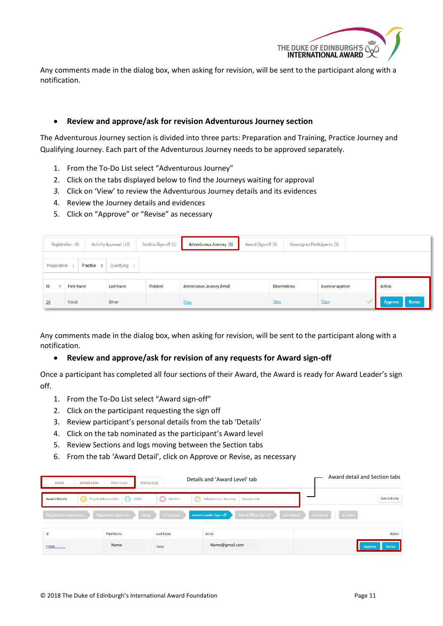

Any comments made in the dialog box, when asking for revision, will be sent to the participant along with a notification.

#### <span id="page-11-0"></span>**Review and approve/ask for revision Adventurous Journey section**

The Adventurous Journey section is divided into three parts: Preparation and Training, Practice Journey and Qualifying Journey. Each part of the Adventurous Journey needs to be approved separately.

- 1. From the To-Do List select "Adventurous Journey"
- 2. Click on the tabs displayed below to find the Journeys waiting for approval
- *3.* Click on 'View' to review the Adventurous Journey details and its evidences
- 4. Review the Journey details and evidences
- 5. Click on "Approve" or "Revise" as necessary

|             | Registration (9)<br>Award Sign-off (3)<br>Activity Approval (13)<br>Adventurous Journey (5)<br>Unassigned Participants (3)<br>Section Sign-off (1) |                  |          |                                   |                     |                         |                   |  |
|-------------|----------------------------------------------------------------------------------------------------------------------------------------------------|------------------|----------|-----------------------------------|---------------------|-------------------------|-------------------|--|
| Preparation | Practice 3                                                                                                                                         | Qualifying 1     |          |                                   |                     |                         |                   |  |
| ID          | <b>First Name</b>                                                                                                                                  | <b>Last Name</b> | Finished | <b>Adventurous Journey Detail</b> | <b>Observations</b> | <b>Assessor approve</b> | <b>Action</b>     |  |
| 20          | Violet                                                                                                                                             | Silver           |          | <b>View</b>                       | <b>View</b>         | <b>View</b>             | Revise<br>Approve |  |

Any comments made in the dialog box, when asking for revision, will be sent to the participant along with a notification.

#### <span id="page-11-1"></span>**Review and approve/ask for revision of any requests for Award sign-off**

Once a participant has completed all four sections of their Award, the Award is ready for Award Leader's sign off.

- 1. From the To-Do List select "Award sign-off"
- 2. Click on the participant requesting the sign off
- 3. Review participant's personal details from the tab 'Details'
- 4. Click on the tab nominated as the participant's Award level
- 5. Review Sections and logs moving between the Section tabs
- 6. From the tab 'Award Detail', click on Approve or Revise, as necessary

| Detail                         | Bronze Level<br>Silver Level         | History Log          | Details and 'Award Level' tab                  | Award detail and Section tabs      |
|--------------------------------|--------------------------------------|----------------------|------------------------------------------------|------------------------------------|
| <b>Award Details</b>           | <b>Skills</b><br>Physical Recreation | 0<br>Service.        | Adventurous Journey<br>Documents               | Add Activity                       |
| <b>Registration Assessment</b> | Registration Approval                | Setup<br>In Progress | Award Office Sign-off<br>Award Leader Sign-off | Completed<br>Inactive<br>Caremony. |
| 1D                             | First Name                           | <b>Last Name</b>     | Email                                          | Action                             |
| PNCOD                          | Name                                 | Saley                | Name@gmail.com                                 | Revise<br>Approve                  |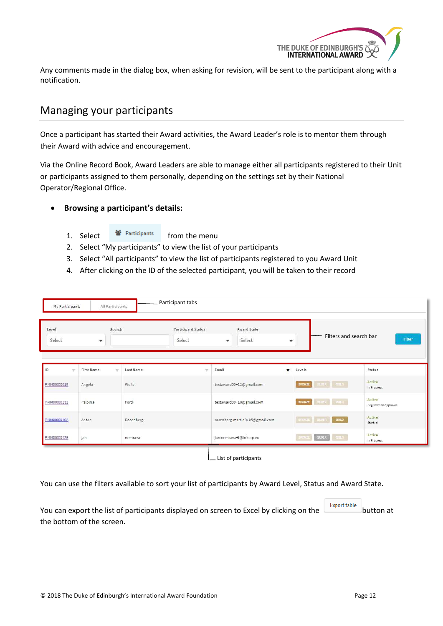

Any comments made in the dialog box, when asking for revision, will be sent to the participant along with a notification.

### <span id="page-12-0"></span>Managing your participants

Once a participant has started their Award activities, the Award Leader's role is to mentor them through their Award with advice and encouragement.

Via the Online Record Book, Award Leaders are able to manage either all participants registered to their Unit or participants assigned to them personally, depending on the settings set by their National Operator/Regional Office.

#### <span id="page-12-1"></span>**Browsing a participant's details:**

1. Select <a> **det** Participants from the menu

- 2. Select "My participants" to view the list of your participants
- 3. Select "All participants" to view the list of participants registered to you Award Unit
- 4. After clicking on the ID of the selected participant, you will be taken to their record

| My Participants                | All Participants       |           | Participant tabs             |                                                    |                           |                                  |                                  |
|--------------------------------|------------------------|-----------|------------------------------|----------------------------------------------------|---------------------------|----------------------------------|----------------------------------|
| Level<br>Select                | Search<br>$\mathbf{v}$ |           | Participant Status<br>Select | Award State<br>Select<br>$\boldsymbol{\mathrm{v}}$ | $\boldsymbol{\mathrm{v}}$ |                                  | Filters and search bar<br>Filter |
| ID<br>$\overline{\mathcal{L}}$ | First Name<br>$\sim$   | Last Name | $\sim$                       | Email                                              | $\blacksquare$            | Levels                           | Status                           |
| PN000000019                    | Angela                 | Wells     |                              | testaward00+12@gmail.com                           |                           | BINER   GOLD<br><b>BRONZE</b>    | Active<br>In Progress            |
| PN000000132                    | Paloma                 | Ford      |                              | testaward00+10@gmail.com                           |                           | <b>BRONZE</b><br>BILVER GOLD     | Active<br>Registration approval  |
| PN000000102                    | Anton                  | Rosenberg |                              | rosenberg.martin9+05@gmail.com                     |                           | GOLD<br><b>IRONIZE BIJER</b>     | Active<br>Started                |
| PN000000128                    | jan                    | nemrava   |                              | jan.nemrava+t@inloop.eu                            |                           | SILVER.<br>9914<br><b>SRONZE</b> | Active<br>In Progress            |

You can use the filters available to sort your list of participants by Award Level, Status and Award State.

You can export the list of participants displayed on screen to Excel by clicking on the **button** at the bottom of the screen.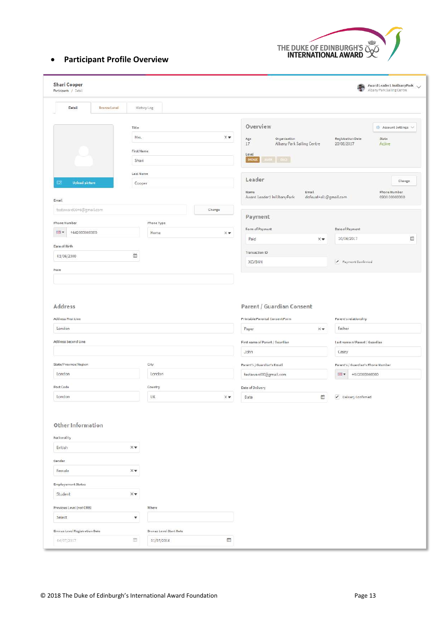

### <span id="page-13-0"></span>**Participant Profile Overview**

| Detail<br><b>Bronze Level</b><br>History Log<br>Overview<br>Title<br>Mrs.<br>$\times\blacktriangledown$<br>Organisation<br><b>Registration Date</b><br>Age<br>State<br>17<br>Albany Park Sailing Centre<br>Active<br>20/06/2017<br>First Name<br>Level<br>≖∣ை<br>DRONZ<br>Shari<br>Last Name<br>Leader<br>$\bullet$<br><b>Upload picture</b><br>Cooper<br>Name<br>Email<br>Award Leader1 InAlbanyPark<br>dofeuat+al1@gmail.com<br>Email<br>testaward00+6@gmail.com<br>Change<br>Payment<br>Phone Number<br>Phone Type<br>Form of Payment<br>Date of Payment<br>+442000000000<br>開<br>Home<br>Xv<br>20/06/2017<br>Paid<br>$\times$<br>Date of Birth<br>Transaction ID<br>鱼<br>01/06/2000<br>XCVBNN<br>Payment Confirmed<br>Note<br>Address<br>Parent / Guardian Consent<br>Address First Line<br>Parent's relationship<br>Printable Parental Consent Form<br>London<br>Father<br>Paper<br>$\times$<br>Address Second Line<br>First name of Parent / Guardian<br>Last name of Parent / Guardian<br>John<br>Casey<br>State/Province/Region<br>City<br>Parent's / Guardian's Email<br>Parent's / Guardian's Phone Number<br>London<br>London<br>testaward00@gmail.com<br>图·<br>+442000000000<br>Post Code<br>Country<br>Date of Delivery<br>London<br>UK<br>館<br>Delivery Confirmed<br>$\times$ $\blacktriangledown$<br>Date<br>Other Information<br>Nationality<br>British<br>$\times$<br>Gender<br>$\times$<br>Female<br><b>Employement Status</b><br>Student<br>$\times$<br>Previous Level (not ORB)<br>Where<br>$\blacktriangledown$<br>Select | Award Leader1 InAlbanyPark<br>衢<br>Albany Park Sailing Centre | <b>Shari Cooper</b><br>Participants / Detail |
|------------------------------------------------------------------------------------------------------------------------------------------------------------------------------------------------------------------------------------------------------------------------------------------------------------------------------------------------------------------------------------------------------------------------------------------------------------------------------------------------------------------------------------------------------------------------------------------------------------------------------------------------------------------------------------------------------------------------------------------------------------------------------------------------------------------------------------------------------------------------------------------------------------------------------------------------------------------------------------------------------------------------------------------------------------------------------------------------------------------------------------------------------------------------------------------------------------------------------------------------------------------------------------------------------------------------------------------------------------------------------------------------------------------------------------------------------------------------------------------------------------------------------------------------|---------------------------------------------------------------|----------------------------------------------|
|                                                                                                                                                                                                                                                                                                                                                                                                                                                                                                                                                                                                                                                                                                                                                                                                                                                                                                                                                                                                                                                                                                                                                                                                                                                                                                                                                                                                                                                                                                                                                |                                                               |                                              |
|                                                                                                                                                                                                                                                                                                                                                                                                                                                                                                                                                                                                                                                                                                                                                                                                                                                                                                                                                                                                                                                                                                                                                                                                                                                                                                                                                                                                                                                                                                                                                | <b>C</b> Account Settings                                     |                                              |
|                                                                                                                                                                                                                                                                                                                                                                                                                                                                                                                                                                                                                                                                                                                                                                                                                                                                                                                                                                                                                                                                                                                                                                                                                                                                                                                                                                                                                                                                                                                                                |                                                               |                                              |
|                                                                                                                                                                                                                                                                                                                                                                                                                                                                                                                                                                                                                                                                                                                                                                                                                                                                                                                                                                                                                                                                                                                                                                                                                                                                                                                                                                                                                                                                                                                                                |                                                               |                                              |
|                                                                                                                                                                                                                                                                                                                                                                                                                                                                                                                                                                                                                                                                                                                                                                                                                                                                                                                                                                                                                                                                                                                                                                                                                                                                                                                                                                                                                                                                                                                                                |                                                               |                                              |
|                                                                                                                                                                                                                                                                                                                                                                                                                                                                                                                                                                                                                                                                                                                                                                                                                                                                                                                                                                                                                                                                                                                                                                                                                                                                                                                                                                                                                                                                                                                                                |                                                               |                                              |
|                                                                                                                                                                                                                                                                                                                                                                                                                                                                                                                                                                                                                                                                                                                                                                                                                                                                                                                                                                                                                                                                                                                                                                                                                                                                                                                                                                                                                                                                                                                                                | Change                                                        |                                              |
|                                                                                                                                                                                                                                                                                                                                                                                                                                                                                                                                                                                                                                                                                                                                                                                                                                                                                                                                                                                                                                                                                                                                                                                                                                                                                                                                                                                                                                                                                                                                                | Phone Number<br>0900 00000000                                 |                                              |
|                                                                                                                                                                                                                                                                                                                                                                                                                                                                                                                                                                                                                                                                                                                                                                                                                                                                                                                                                                                                                                                                                                                                                                                                                                                                                                                                                                                                                                                                                                                                                |                                                               |                                              |
|                                                                                                                                                                                                                                                                                                                                                                                                                                                                                                                                                                                                                                                                                                                                                                                                                                                                                                                                                                                                                                                                                                                                                                                                                                                                                                                                                                                                                                                                                                                                                |                                                               |                                              |
|                                                                                                                                                                                                                                                                                                                                                                                                                                                                                                                                                                                                                                                                                                                                                                                                                                                                                                                                                                                                                                                                                                                                                                                                                                                                                                                                                                                                                                                                                                                                                |                                                               |                                              |
|                                                                                                                                                                                                                                                                                                                                                                                                                                                                                                                                                                                                                                                                                                                                                                                                                                                                                                                                                                                                                                                                                                                                                                                                                                                                                                                                                                                                                                                                                                                                                | m                                                             |                                              |
|                                                                                                                                                                                                                                                                                                                                                                                                                                                                                                                                                                                                                                                                                                                                                                                                                                                                                                                                                                                                                                                                                                                                                                                                                                                                                                                                                                                                                                                                                                                                                |                                                               |                                              |
|                                                                                                                                                                                                                                                                                                                                                                                                                                                                                                                                                                                                                                                                                                                                                                                                                                                                                                                                                                                                                                                                                                                                                                                                                                                                                                                                                                                                                                                                                                                                                |                                                               |                                              |
|                                                                                                                                                                                                                                                                                                                                                                                                                                                                                                                                                                                                                                                                                                                                                                                                                                                                                                                                                                                                                                                                                                                                                                                                                                                                                                                                                                                                                                                                                                                                                |                                                               |                                              |
|                                                                                                                                                                                                                                                                                                                                                                                                                                                                                                                                                                                                                                                                                                                                                                                                                                                                                                                                                                                                                                                                                                                                                                                                                                                                                                                                                                                                                                                                                                                                                |                                                               |                                              |
|                                                                                                                                                                                                                                                                                                                                                                                                                                                                                                                                                                                                                                                                                                                                                                                                                                                                                                                                                                                                                                                                                                                                                                                                                                                                                                                                                                                                                                                                                                                                                |                                                               |                                              |
|                                                                                                                                                                                                                                                                                                                                                                                                                                                                                                                                                                                                                                                                                                                                                                                                                                                                                                                                                                                                                                                                                                                                                                                                                                                                                                                                                                                                                                                                                                                                                |                                                               |                                              |
|                                                                                                                                                                                                                                                                                                                                                                                                                                                                                                                                                                                                                                                                                                                                                                                                                                                                                                                                                                                                                                                                                                                                                                                                                                                                                                                                                                                                                                                                                                                                                |                                                               |                                              |
|                                                                                                                                                                                                                                                                                                                                                                                                                                                                                                                                                                                                                                                                                                                                                                                                                                                                                                                                                                                                                                                                                                                                                                                                                                                                                                                                                                                                                                                                                                                                                |                                                               |                                              |
|                                                                                                                                                                                                                                                                                                                                                                                                                                                                                                                                                                                                                                                                                                                                                                                                                                                                                                                                                                                                                                                                                                                                                                                                                                                                                                                                                                                                                                                                                                                                                |                                                               |                                              |
|                                                                                                                                                                                                                                                                                                                                                                                                                                                                                                                                                                                                                                                                                                                                                                                                                                                                                                                                                                                                                                                                                                                                                                                                                                                                                                                                                                                                                                                                                                                                                |                                                               |                                              |
|                                                                                                                                                                                                                                                                                                                                                                                                                                                                                                                                                                                                                                                                                                                                                                                                                                                                                                                                                                                                                                                                                                                                                                                                                                                                                                                                                                                                                                                                                                                                                |                                                               |                                              |
|                                                                                                                                                                                                                                                                                                                                                                                                                                                                                                                                                                                                                                                                                                                                                                                                                                                                                                                                                                                                                                                                                                                                                                                                                                                                                                                                                                                                                                                                                                                                                |                                                               |                                              |
|                                                                                                                                                                                                                                                                                                                                                                                                                                                                                                                                                                                                                                                                                                                                                                                                                                                                                                                                                                                                                                                                                                                                                                                                                                                                                                                                                                                                                                                                                                                                                |                                                               |                                              |
| Bronze Level Registration Date<br><b>Bronze Level Start Date</b>                                                                                                                                                                                                                                                                                                                                                                                                                                                                                                                                                                                                                                                                                                                                                                                                                                                                                                                                                                                                                                                                                                                                                                                                                                                                                                                                                                                                                                                                               |                                                               |                                              |
| $\overline{\phantom{a}}$<br>鸽<br>01/07/2016<br>04/07/2017                                                                                                                                                                                                                                                                                                                                                                                                                                                                                                                                                                                                                                                                                                                                                                                                                                                                                                                                                                                                                                                                                                                                                                                                                                                                                                                                                                                                                                                                                      |                                                               |                                              |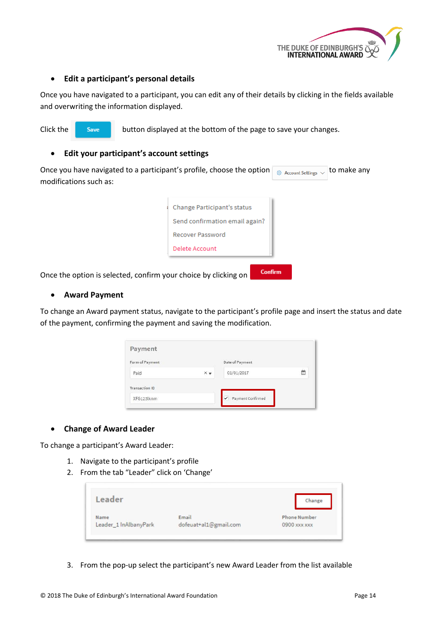

#### <span id="page-14-0"></span>**Edit a participant's personal details**

Once you have navigated to a participant, you can edit any of their details by clicking in the fields available and overwriting the information displayed.

Click the save button displayed at the bottom of the page to save your changes.

#### <span id="page-14-1"></span>**Edit your participant's account settings**

Once you have navigated to a participant's profile, choose the option  $\frac{1}{\sqrt{3}}$  Account Settings  $\sqrt{3}$  to make any modifications such as: Change Participant's status Send confirmation email again? Recover Password Delete Account

Once the option is selected, confirm your choice by clicking on

#### <span id="page-14-2"></span>**Award Payment**

To change an Award payment status, navigate to the participant's profile page and insert the status and date of the payment, confirming the payment and saving the modification.

Confirm

| Payment               |                  |                   |   |
|-----------------------|------------------|-------------------|---|
| Form of Payment       |                  | Date of Payment   |   |
| Paid                  | $\times$ $\star$ | 01/01/2017        | m |
| <b>Transaction ID</b> |                  |                   |   |
| XFG123lknm            |                  | Payment Confirmed |   |

#### <span id="page-14-3"></span>**Change of Award Leader**

To change a participant's Award Leader:

- 1. Navigate to the participant's profile
- 2. From the tab "Leader" click on 'Change'

| Leader                |                       | Change              |
|-----------------------|-----------------------|---------------------|
| Name                  | Email                 | <b>Phone Number</b> |
| Leader_1 InAlbanyPark | dofeuat+al1@gmail.com | 0900 xxx xxx        |

3. From the pop-up select the participant's new Award Leader from the list available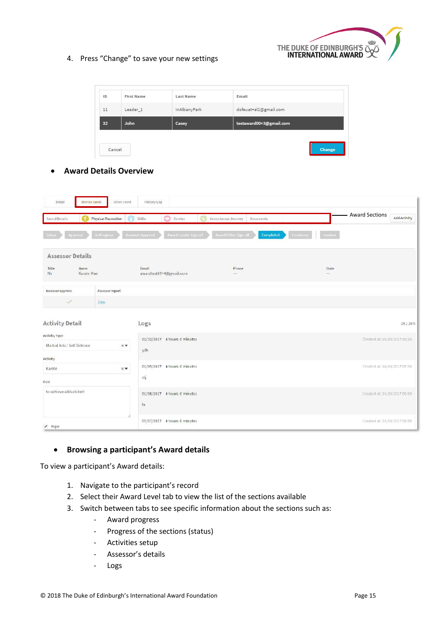

#### 4. Press "Change" to save your new settings

| 32<br>testaward00+3@gmail.com<br>John<br>Casey                     |  |  |
|--------------------------------------------------------------------|--|--|
|                                                                    |  |  |
| 11<br>Leader <sub>1</sub><br>dofeuat+al1@gmail.com<br>InAlbanyPark |  |  |

#### <span id="page-15-0"></span>**Award Details Overview**

| Detail<br><b>Bronze Level</b>                | Silver Level                  | History Log                                |                                    |                      |                                              |
|----------------------------------------------|-------------------------------|--------------------------------------------|------------------------------------|----------------------|----------------------------------------------|
| Award Details                                | <b>Physical Recreation</b>    | Skills<br>Service                          | Adventurous Journey<br>Documents   |                      | <b>Award Sections</b><br><b>Add Activity</b> |
| <b>Approval</b>                              | In Progress                   | Award Leader Sign-off<br>Assessor Approval | Award Office Sign off<br>Completed | Inactive<br>Ceremony |                                              |
| <b>Assessor Details</b>                      |                               |                                            |                                    |                      |                                              |
| Title<br>Name<br>Mr<br>Karate Man            |                               | Email<br>awardtest68+4@gmail.com           | Phone<br>$\cdots$                  | State<br>$\cdots$    |                                              |
| Assessor approve                             | Assessor report               |                                            |                                    |                      |                                              |
| $\checkmark$                                 | View                          |                                            |                                    |                      |                                              |
| <b>Activity Detail</b>                       |                               | Logs                                       |                                    |                      | 29/26h                                       |
| Activity Type<br>Martial Arts / Self Defence | $\times$ $\blacktriangledown$ | 01/10/2017 4 hours 0 minutes<br>ydk        |                                    |                      | Created at: 24/10/2017 09:39                 |
| Activity                                     |                               |                                            |                                    |                      |                                              |
| Karate                                       | $\times$                      | 01/09/2017 4 hours 0 minutes               |                                    |                      | Created at: 24/10/2017 09:39                 |
| Goal                                         |                               | stj                                        |                                    |                      |                                              |
| to achieve a black belt                      |                               | 01/08/2017 4 hours 0 minutes<br>fa         |                                    |                      | Created at: 24/10/2017 09:39                 |
| $\sqrt{ }$ Major                             |                               | 01/07/2017 4 hours 0 minutes               |                                    |                      | Created at: 24/10/2017 09:38                 |

#### <span id="page-15-1"></span>**Browsing a participant's Award details**

To view a participant's Award details:

- 1. Navigate to the participant's record
- 2. Select their Award Level tab to view the list of the sections available
- 3. Switch between tabs to see specific information about the sections such as:
	- Award progress
	- Progress of the sections (status)
	- Activities setup
	- Assessor's details
	- Logs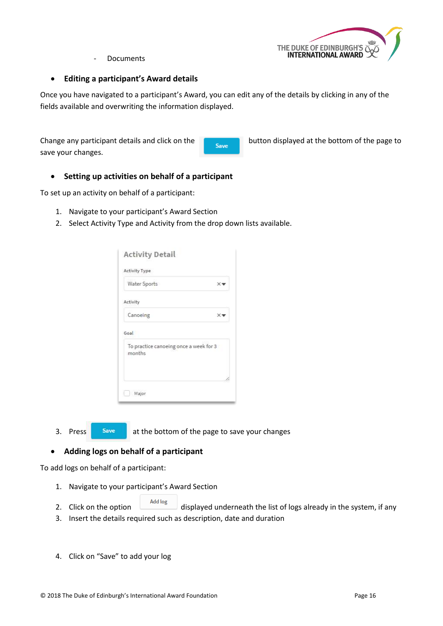

**Documents** 

#### <span id="page-16-0"></span>**Editing a participant's Award details**

Once you have navigated to a participant's Award, you can edit any of the details by clicking in any of the fields available and overwriting the information displayed.

Change any participant details and click on the **button displayed at the bottom of the page to** save your changes.

#### <span id="page-16-1"></span>**Setting up activities on behalf of a participant**

To set up an activity on behalf of a participant:

- 1. Navigate to your participant's Award Section
- 2. Select Activity Type and Activity from the drop down lists available.

| Activity Type                          |    |
|----------------------------------------|----|
| Water Sports                           | Xv |
| Activity                               |    |
| Canoeing                               | Xv |
| To practice canoeing once a week for 3 |    |
| months                                 |    |
|                                        |    |

3. Press **Save at the bottom of the page to save your changes** 

#### <span id="page-16-2"></span>**Adding logs on behalf of a participant**

To add logs on behalf of a participant:

- 1. Navigate to your participant's Award Section
- 2. Click on the option  $\frac{1-\text{Add log}}{\text{displayed}}}$  displayed underneath the list of logs already in the system, if any
- 3. Insert the details required such as description, date and duration
- 4. Click on "Save" to add your log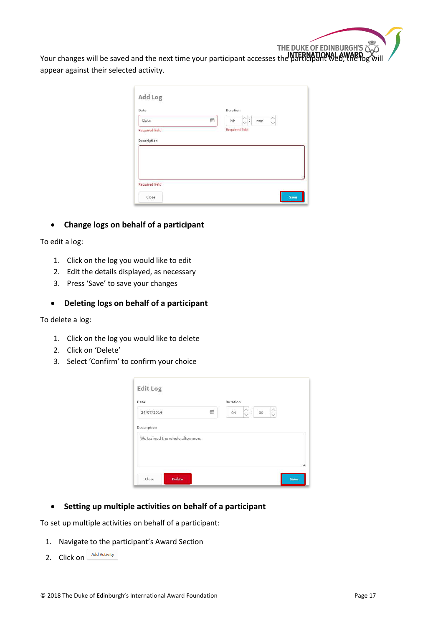THE DUKE OF EDINBURGH'S SURVERSES WILL be saved and the next time your participant accesses the participant web, the log will appear against their selected activity.

| Date           |   |                               |    |                     |  |
|----------------|---|-------------------------------|----|---------------------|--|
|                | 曲 | $\frac{\wedge}{\vee}$ :<br>hh | mm | $\hat{\phantom{0}}$ |  |
| Required field |   | <b>Required field</b>         |    |                     |  |
| Description    |   |                               |    |                     |  |
|                |   |                               |    |                     |  |
|                |   |                               |    |                     |  |
|                |   |                               |    |                     |  |
|                |   |                               |    |                     |  |
|                |   |                               |    |                     |  |
|                |   |                               |    |                     |  |

#### <span id="page-17-0"></span>**Change logs on behalf of a participant**

To edit a log:

- 1. Click on the log you would like to edit
- 2. Edit the details displayed, as necessary
- 3. Press 'Save' to save your changes

#### <span id="page-17-1"></span>**Deleting logs on behalf of a participant**

To delete a log:

- 1. Click on the log you would like to delete
- 2. Click on 'Delete'
- 3. Select 'Confirm' to confirm your choice

| Edit Log                        |   |                                                    |             |
|---------------------------------|---|----------------------------------------------------|-------------|
| Date                            |   | Duration                                           |             |
| 24/07/2016                      | m | $\hat{\mathbb{C}}$ :<br>$^{00}$<br>04 <sub>1</sub> | $\hat{C}$   |
| Description                     |   |                                                    |             |
| We trained the whole afternoon. |   |                                                    |             |
|                                 |   |                                                    |             |
|                                 |   |                                                    | B           |
| Close<br><b>Delete</b>          |   |                                                    | <b>Save</b> |

<span id="page-17-2"></span>**Setting up multiple activities on behalf of a participant**

To set up multiple activities on behalf of a participant:

- 1. Navigate to the participant's Award Section
- 2. Click on Add Activity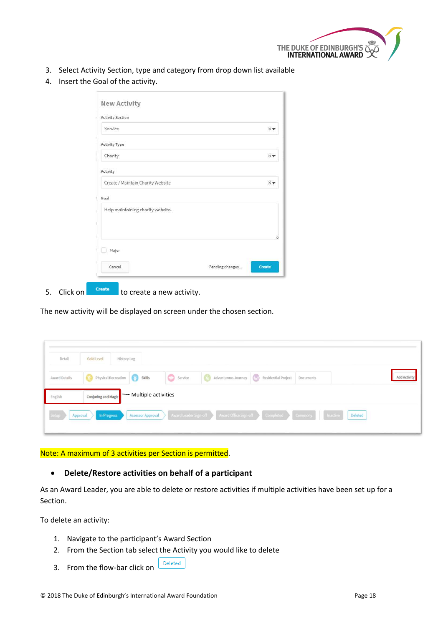

- 3. Select Activity Section, type and category from drop down list available
- 4. Insert the Goal of the activity.

| <b>Activity Section</b>           |  |
|-----------------------------------|--|
| Service                           |  |
| Activity Type                     |  |
| Charity                           |  |
| Activity                          |  |
| Create / Maintain Charity Website |  |
| Goal                              |  |
| Help maintaining charity website. |  |
|                                   |  |
|                                   |  |
| Major                             |  |
|                                   |  |

5. Click on  $\begin{array}{|c|c|c|c|c|}\n\hline\n\end{array}$  to create a new activity.

The new activity will be displayed on screen under the chosen section.

| Detail               | Gold Level<br><b>History Log</b> |                              |         |                                                                         |           |         |                     |
|----------------------|----------------------------------|------------------------------|---------|-------------------------------------------------------------------------|-----------|---------|---------------------|
| <b>Award Details</b> | Physical Recreation Skills       |                              | Service | Adventurous Journey (2) Residential Project                             | Documents |         | <b>Add Activity</b> |
| English              | Conjuring and Magic              | $\equiv$ Multiple activities |         |                                                                         |           |         |                     |
| Setup<br>Approval    | In Progress                      | <b>Assessor Approval</b>     |         | Award Leader Sign-off Award Office Sign-off Completed Ceremony Inactive |           | Deleted |                     |

Note: A maximum of 3 activities per Section is permitted.

#### <span id="page-18-0"></span>**Delete/Restore activities on behalf of a participant**

As an Award Leader, you are able to delete or restore activities if multiple activities have been set up for a Section.

To delete an activity:

- 1. Navigate to the participant's Award Section
- 2. From the Section tab select the Activity you would like to delete
- Deleted 3. From the flow-bar click on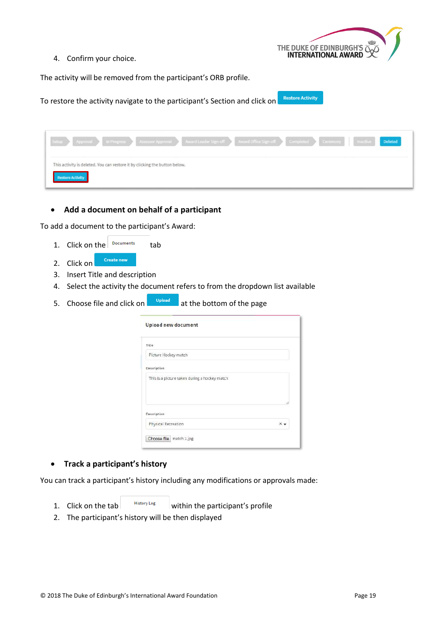

4. Confirm your choice.

The activity will be removed from the participant's ORB profile.

**Restore Activity** To restore the activity navigate to the participant's Section and click on

| Setup Approval In Progress Assessor Approval Award Leader Sign-off Award Office Sign-off Completed Ceremony Inactive |  |  | Deleted |
|----------------------------------------------------------------------------------------------------------------------|--|--|---------|
| This activity is deleted. You can restore it by clicking the button below.<br><b>Restore Activity</b>                |  |  |         |

#### <span id="page-19-0"></span>**Add a document on behalf of a participant**

To add a document to the participant's Award:

- 1. Click on the  $\sqrt{P}$  pocuments tab
- Create new 2. Click on
- 3. Insert Title and description
- 4. Select the activity the document refers to from the dropdown list available
- 5. Choose file and click on a subset of the bottom of the page

| Upload new document                           |  |
|-----------------------------------------------|--|
| Title                                         |  |
| Picture Hockey match                          |  |
| Description                                   |  |
| This is a picture taken during a hockey match |  |
|                                               |  |
|                                               |  |
| <b>Description</b>                            |  |

#### <span id="page-19-1"></span>**Track a participant's history**

You can track a participant's history including any modifications or approvals made:

1. Click on the tab  $\frac{H_{\text{istory Log}}}{\text{distivity}}$  within the participant's profile

2. The participant's history will be then displayed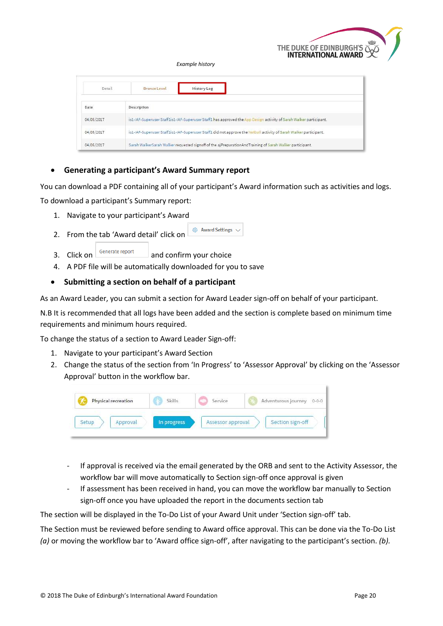

*Example history*

| Detail     | Bronze Level | <b>History Log</b>                                                                                                 |  |  |  |
|------------|--------------|--------------------------------------------------------------------------------------------------------------------|--|--|--|
| Date       | Description  |                                                                                                                    |  |  |  |
| 04/05/2017 |              | is1-IAF-Superuser Staff1is1-IAF-Superuser Staff1 has approved the App Design activity of Sarah Walker participant. |  |  |  |
| 04/05/2017 |              | is1-IAF-Superuser Staff1is1-IAF-Superuser Staff1 did not approve the Netball activity of Sarah Walker participant. |  |  |  |
| 04/05/2017 |              | Sarah Walker Sarah Walker requested signoff of the ajPreparationAndTraining of Sarah Walker participant.           |  |  |  |

#### <span id="page-20-0"></span>**Generating a participant's Award Summary report**

You can download a PDF containing all of your participant's Award information such as activities and logs. To download a participant's Summary report:

- 1. Navigate to your participant's Award
- & Award Settings 2. From the tab 'Award detail' click on
- 3. Click on  $\left|\frac{\text{Generate report}}{\text{and confirm your choice}}\right|$
- 4. A PDF file will be automatically downloaded for you to save

#### <span id="page-20-1"></span>**Submitting a section on behalf of a participant**

As an Award Leader, you can submit a section for Award Leader sign-off on behalf of your participant.

N.B It is recommended that all logs have been added and the section is complete based on minimum time requirements and minimum hours required.

To change the status of a section to Award Leader Sign-off:

- 1. Navigate to your participant's Award Section
- 2. Change the status of the section from 'In Progress' to 'Assessor Approval' by clicking on the 'Assessor Approval' button in the workflow bar.



- If approval is received via the email generated by the ORB and sent to the Activity Assessor, the workflow bar will move automatically to Section sign-off once approval is given
- If assessment has been received in hand, you can move the workflow bar manually to Section sign-off once you have uploaded the report in the documents section tab

The section will be displayed in the To-Do List of your Award Unit under 'Section sign-off' tab.

The Section must be reviewed before sending to Award office approval. This can be done via the To-Do List *(a)* or moving the workflow bar to 'Award office sign-off', after navigating to the participant's section. *(b).*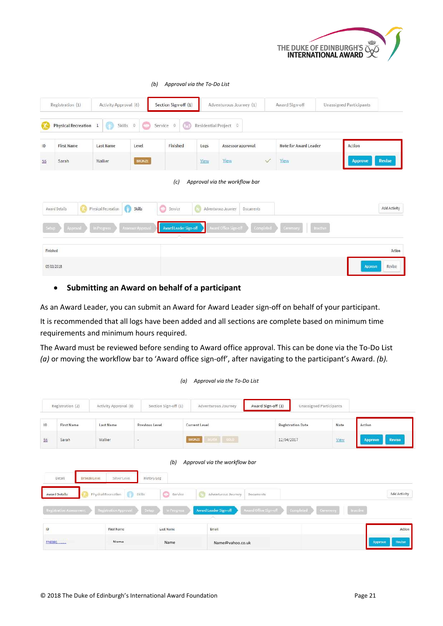

|                   |                             |                          | (b)               | Approval via the To-Do List |      |                                                                   |              |                              |          |                                |               |
|-------------------|-----------------------------|--------------------------|-------------------|-----------------------------|------|-------------------------------------------------------------------|--------------|------------------------------|----------|--------------------------------|---------------|
|                   | Registration (1)            | Activity Approval (8)    |                   | Section Sign-off (1)        |      | Adventurous Journey (1)                                           |              | Award Sign-off               |          | <b>Unassigned Participants</b> |               |
|                   | Physical Recreation 1       | Ø<br>Skills 0            | o                 | Œ<br>Service<br>$\Omega$    |      | Residential Project 0                                             |              |                              |          |                                |               |
| ID                | <b>First Name</b>           | <b>Last Name</b>         | Level             | Finished                    | Logs | Assessor approval                                                 |              | <b>Note for Award Leader</b> |          | <b>Action</b>                  |               |
| 56                | Sarah                       | Walker                   | <b>BRONZE</b>     |                             | View | <b>View</b>                                                       | $\checkmark$ | View                         |          | <b>Approve</b>                 | <b>Revise</b> |
|                   | GA.<br><b>Award Details</b> | 6<br>Physical Recreation | Skills            | (c)<br>Service              |      | Approval via the workflow bar<br>Adventurous Journey<br>Documents |              |                              |          |                                | Add Activity  |
| Setup<br>Finished | Approval                    | In Progress              | Assessor Approval | Award Leader Sign-off       |      | ward Office Sign-off                                              | Completed    | Ceremony                     | Inactive |                                | Action        |
|                   |                             |                          |                   |                             |      |                                                                   |              |                              |          |                                |               |
|                   | 05/03/2018                  |                          |                   |                             |      |                                                                   |              |                              |          | Approve                        | Revise        |

#### **Submitting an Award on behalf of a participant**

As an Award Leader, you can submit an Award for Award Leader sign-off on behalf of your participant.

It is recommended that all logs have been added and all sections are complete based on minimum time requirements and minimum hours required.

The Award must be reviewed before sending to Award office approval. This can be done via the To-Do List *(a)* or moving the workflow bar to 'Award office sign-off', after navigating to the participant's Award. *(b).*

*(a) Approval via the To-Do List*

|        | Registration (2)                                                 | Activity Approval (8)                                                                               | Section Sign-off (1)                                                         | Adventurous Journey                                                                                  | Award Sign-off (1)                                     | Unassigned Participants |                                 |
|--------|------------------------------------------------------------------|-----------------------------------------------------------------------------------------------------|------------------------------------------------------------------------------|------------------------------------------------------------------------------------------------------|--------------------------------------------------------|-------------------------|---------------------------------|
| 1D     | First Name                                                       | Last Name                                                                                           | Previous Level                                                               | Current Level                                                                                        | <b>Registration Date</b>                               | Note                    | Action                          |
| 56     | Sarah                                                            | Walker                                                                                              | $\sim$                                                                       | SILVER COLD<br><b>BRONZE</b>                                                                         | 12/04/2017                                             | View                    | <b>Approve</b><br><b>Revise</b> |
|        | Detail<br><b>Award Details</b><br><b>Registration Assessment</b> | Silver Level<br>Bronze Level<br>$\mathbb{C}$<br>Physical Recreation<br><b>Registration Approval</b> | (b)<br>History Log<br>6<br>Service.<br><b>Skills</b><br>In Progress<br>Setup | Approval via the workflow bar<br>$\mathbb{C}^n$<br>Adventurous Journey<br>Award Leader Sign-off<br>× | <b>Documents</b><br>Award Office Sign-off<br>Completed | Ceremony                | Add Activity<br><b>Inactive</b> |
| 1D     |                                                                  | <b>First Name</b>                                                                                   | <b>Last Name</b>                                                             | Email                                                                                                |                                                        |                         | Action                          |
| PNCOD1 | 2002013                                                          | Name                                                                                                | Name                                                                         | Name@vahoo.co.uk                                                                                     |                                                        |                         | Revise<br><b>Approve</b>        |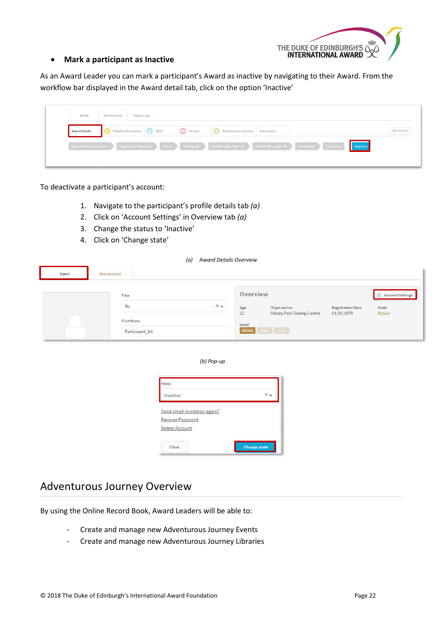

#### <span id="page-22-0"></span>**Mark a participant as Inactive**

As an Award Leader you can mark a participant's Award as inactive by navigating to their Award. From the workflow bar displayed in the Award detail tab, click on the option 'Inactive'

| Detail               | Bronze Level<br>History Log               |                               |                                                                                                                             |             |
|----------------------|-------------------------------------------|-------------------------------|-----------------------------------------------------------------------------------------------------------------------------|-------------|
| <b>Award Details</b> | Physical Recreation Skills Skills Service | Adventurous Journey Documents |                                                                                                                             | Add Activit |
|                      |                                           |                               | Registration Assessment Registration Approval Solup In Progress Award Leader Sign of Award Office Sign of Completed Commony | Inactive    |

To deactivate a participant's account:

- 1. Navigate to the participant's profile details tab *(a)*
- 2. Click on 'Account Settings' in Overview tab *(a)*
- 3. Change the status to 'Inactive'
- 4. Click on 'Change state'

|        |                                              | <b>Award Details Overview</b><br>(a) |                                          |                                                               |                                        |                                            |
|--------|----------------------------------------------|--------------------------------------|------------------------------------------|---------------------------------------------------------------|----------------------------------------|--------------------------------------------|
| Detail | Bronze Level                                 |                                      |                                          |                                                               |                                        |                                            |
| $\sim$ | Title<br>Mr.<br>First Name<br>Participant_b0 | $\times$ $\star$                     | Overview<br>Age<br>22<br>Level<br>BRONZE | Organization<br>Albany Park Sailing Centre<br>$21.078$ $60.0$ | <b>Registration Date</b><br>01/01/1970 | <b>Account Settings</b><br>State<br>Active |

#### *(b) Pop-up*

| $\times$ |
|----------|
|          |
|          |
|          |
|          |

### <span id="page-22-1"></span>Adventurous Journey Overview

By using the Online Record Book, Award Leaders will be able to:

- Create and manage new Adventurous Journey Events
- Create and manage new Adventurous Journey Libraries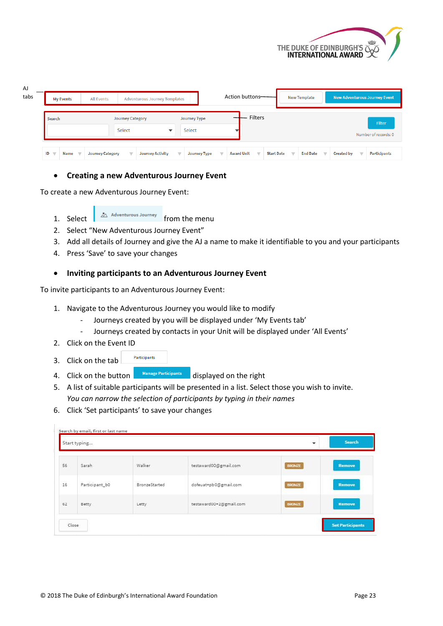

| AJ<br>tabs | <b>My Events</b> | <b>All Events</b>       | <b>Adventurous Journey Templates</b> |                         |                               | Action buttons-   |                                               |                         | <b>New Template</b> |                         |                   | <b>New Adventurous Journey Event</b>  |
|------------|------------------|-------------------------|--------------------------------------|-------------------------|-------------------------------|-------------------|-----------------------------------------------|-------------------------|---------------------|-------------------------|-------------------|---------------------------------------|
|            | Search           |                         | <b>Journey Category</b><br>Select    |                         | <b>Journey Type</b><br>Select |                   | <b>Filters</b>                                |                         |                     |                         |                   | <b>Filter</b><br>Number of records: 0 |
|            | Name<br>ID<br>÷  | <b>Journey Category</b> | ┳                                    | <b>Journey Activity</b> | <b>Journey Type</b>           | <b>Award Unit</b> | <b>Start Date</b><br>$\overline{\phantom{a}}$ | $\overline{\mathbf{v}}$ | <b>End Date</b>     | $\overline{\mathbf{v}}$ | <b>Created by</b> | Participants                          |

#### <span id="page-23-0"></span>**Creating a new Adventurous Journey Event**

To create a new Adventurous Journey Event:

1. Select  $\frac{1}{2}$  Adventurous Journey from the menu

- 2. Select "New Adventurous Journey Event"
- 3. Add all details of Journey and give the AJ a name to make it identifiable to you and your participants
- 4. Press 'Save' to save your changes

#### <span id="page-23-1"></span>**Inviting participants to an Adventurous Journey Event**

To invite participants to an Adventurous Journey Event:

- 1. Navigate to the Adventurous Journey you would like to modify
	- Journeys created by you will be displayed under 'My Events tab'
	- Journeys created by contacts in your Unit will be displayed under 'All Events'
- 2. Click on the Event ID
- Participants 3. Click on the tab

H.,

- 4. Click on the button **Manage Participants** displayed on the right
- 5. A list of suitable participants will be presented in a list. Select those you wish to invite. *You can narrow the selection of participants by typing in their names*
- 6. Click 'Set participants' to save your changes

| 56 | Sarah          | <b>CONTRACTOR</b><br>Walker    | testaward00@gmail.com   | <b>BRONZE</b> | <b>Remove</b> |
|----|----------------|--------------------------------|-------------------------|---------------|---------------|
| 16 | Participant_b0 | $\Rightarrow$<br>BronzeStarted | dofeuat+pb0@gmail.com   | <b>BRONZE</b> | <b>Remove</b> |
| 62 | Betty.         | Letty                          | testaward00+2@gmail.com | <b>BRONZE</b> | <b>Remove</b> |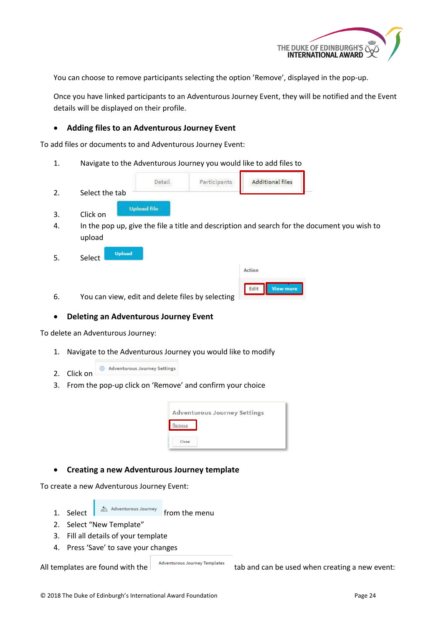

You can choose to remove participants selecting the option 'Remove', displayed in the pop-up.

Once you have linked participants to an Adventurous Journey Event, they will be notified and the Event details will be displayed on their profile.

#### <span id="page-24-0"></span>**Adding files to an Adventurous Journey Event**

To add files or documents to and Adventurous Journey Event:

1. Navigate to the Adventurous Journey you would like to add files to

|                | Yeta        | Participants | <b>Additional files</b> |
|----------------|-------------|--------------|-------------------------|
| Select the tab |             |              |                         |
| Click on       | Upload file |              |                         |

- 4. In the pop up, give the file a title and description and search for the document you wish to upload
- **Upload** 5. Select

| <b>Action</b> |                  |
|---------------|------------------|
|               | <b>View more</b> |

6. You can view, edit and delete files by selecting

#### <span id="page-24-1"></span>**Deleting an Adventurous Journey Event**

To delete an Adventurous Journey:

- 1. Navigate to the Adventurous Journey you would like to modify
- Adventurous Journey Settings 2. Click on
- 3. From the pop-up click on 'Remove' and confirm your choice

|        | <b>Adventurous Journey Settings</b> |  |  |
|--------|-------------------------------------|--|--|
| Remove |                                     |  |  |
|        |                                     |  |  |

#### <span id="page-24-2"></span>**Creating a new Adventurous Journey template**

To create a new Adventurous Journey Event:

- 1. Select  $\overline{a}$  Adventurous Journey from the menu
- 2. Select "New Template"
- 3. Fill all details of your template
- 4. Press 'Save' to save your changes

All templates are found with the  $\vert$  adventurous Journey Templates tab and can be used when creating a new event: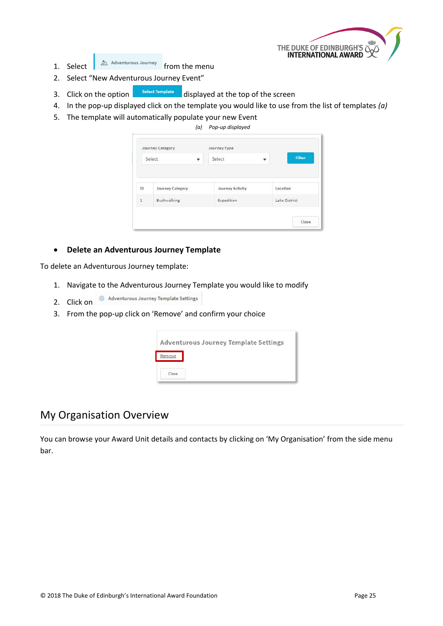1. Select  $\int_{0}^{\infty}$  Adventurous Journey from the menu

- 2. Select "New Adventurous Journey Event"
- 3. Click on the option **Select Template** displayed at the top of the screen
- 4. In the pop-up displayed click on the template you would like to use from the list of templates *(a)*
- 5. The template will automatically populate your new Event

*(a) Pop-up displayed*

|             | ÷<br>Select             | Select                  | Filter<br>$\overline{\mathbf{v}}$ |
|-------------|-------------------------|-------------------------|-----------------------------------|
| ID.         | <b>Journey Category</b> | <b>Journey Activity</b> | Location                          |
| $\mathbf 1$ | Bushwalking             | Expedition              | Lake District                     |

#### <span id="page-25-0"></span>**Delete an Adventurous Journey Template**

To delete an Adventurous Journey template:

- 1. Navigate to the Adventurous Journey Template you would like to modify
- @ Adventurous Journey Template Settings 2. Click on
- 3. From the pop-up click on 'Remove' and confirm your choice

|        | Adventurous Journey Template Settings |
|--------|---------------------------------------|
| Remove |                                       |
| Close  |                                       |

### <span id="page-25-1"></span>My Organisation Overview

You can browse your Award Unit details and contacts by clicking on 'My Organisation' from the side menu bar.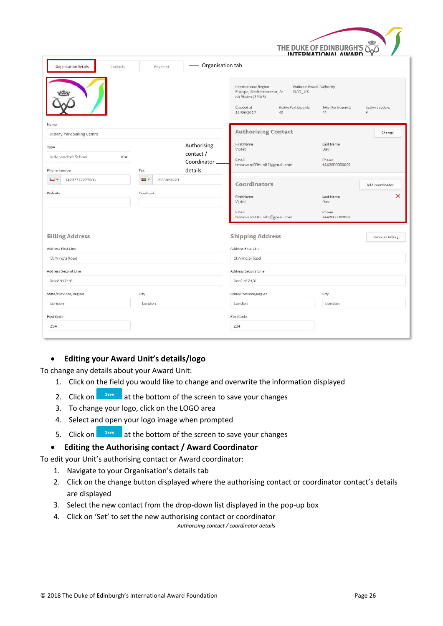

| <b>Organisation Details</b>               | $\overbrace{\hspace{25mm}}^{ }$<br>Contacts<br>Payment | Organisation tab                                                                                                                                                     |                                            |                                       |
|-------------------------------------------|--------------------------------------------------------|----------------------------------------------------------------------------------------------------------------------------------------------------------------------|--------------------------------------------|---------------------------------------|
|                                           |                                                        | International Region<br>National Award Authority<br>Europe, Mediterranean, Ar<br>NAO_UK<br>ab States (EMAS)<br>Created at<br>Active Participants<br>43<br>19/06/2017 | <b>Total Participants</b><br>44            | <b>Active Leaders</b><br>$\mathbf{6}$ |
| Name                                      |                                                        |                                                                                                                                                                      |                                            |                                       |
| Albany Park Sailing Centre                |                                                        | <b>Authorising Contact</b>                                                                                                                                           |                                            | Change                                |
| Type<br>Independent School<br>$\times$    | Authorising<br>contact/<br>Coordinator                 | First Name<br>Violet<br>Email<br>testaward00+unit2@gmail.com                                                                                                         | Last Name<br>Davi<br>Phone<br>+44200000000 |                                       |
| Phone Number                              | details<br>Fax                                         |                                                                                                                                                                      |                                            |                                       |
| ш.<br>+4207777277203                      | 23<br>+933023223                                       | Coordinators                                                                                                                                                         |                                            | Add coordinator                       |
| Website                                   | Facebook                                               | First Name<br>Violet                                                                                                                                                 | Last Name<br>Davi                          | $\times$                              |
|                                           |                                                        | Email<br>testaward00+unit2@gmail.com                                                                                                                                 | Phone<br>+442000000000                     |                                       |
|                                           |                                                        |                                                                                                                                                                      |                                            |                                       |
| <b>Billing Address</b>                    |                                                        | <b>Shipping Address</b>                                                                                                                                              |                                            | Same as Billing                       |
|                                           |                                                        | Address First Line                                                                                                                                                   |                                            |                                       |
| St Anne's Road                            |                                                        | St Anne's Road                                                                                                                                                       |                                            |                                       |
| Address First Line<br>Address Second Line |                                                        | Address Second Line                                                                                                                                                  |                                            |                                       |
| line24174/6                               |                                                        | line2 4174/6                                                                                                                                                         |                                            |                                       |
| State/Province/Region                     | City                                                   | State/Province/Region                                                                                                                                                | City                                       |                                       |
| London                                    | London                                                 | London                                                                                                                                                               | London                                     |                                       |
| Post Code                                 |                                                        | Post Code                                                                                                                                                            |                                            |                                       |

#### <span id="page-26-0"></span>**Editing your Award Unit's details/logo**

To change any details about your Award Unit:

- 1. Click on the field you would like to change and overwrite the information displayed
- 2. Click on  $\begin{array}{|c|c|} \hline \text{Save} & \text{at the bottom of the screen to save your changes} \hline \end{array}$
- 3. To change your logo, click on the LOGO area
- 4. Select and open your logo image when prompted
- 5. Click on  $\begin{array}{|c|c|} \hline \text{Save} & \text{at the bottom of the screen to save your changes} \hline \end{array}$

#### <span id="page-26-1"></span>**Editing the Authorising contact / Award Coordinator**

To edit your Unit's authorising contact or Award coordinator:

- 1. Navigate to your Organisation's details tab
- 2. Click on the change button displayed where the authorising contact or coordinator contact's details are displayed
- 3. Select the new contact from the drop-down list displayed in the pop-up box
- 4. Click on 'Set' to set the new authorising contact or coordinator

*Authorising contact / coordinator details*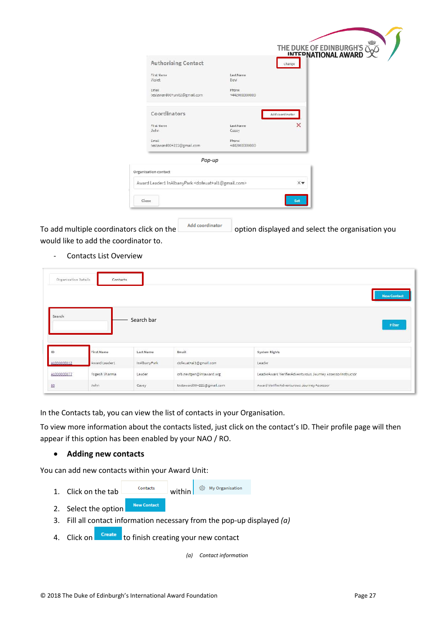|                                                                            |                        | THE DUKE OF EDINBURGH'S |
|----------------------------------------------------------------------------|------------------------|-------------------------|
| Authorising Contact                                                        |                        | Change                  |
| First Name<br>Violet                                                       | Last Name<br>Davi      |                         |
| Email<br>testaward00+unit2@gmail.com                                       | Fhone<br>+442000000000 |                         |
| Coordinators                                                               |                        | Add coordinator         |
| First Name<br>John                                                         | Last Name<br>Casey     | ×                       |
| Email<br>testaward00+222@gmail.com                                         | Phone<br>+442000000000 |                         |
| Pop-up                                                                     |                        |                         |
| Organisation contact                                                       |                        |                         |
| Award Leader1 InAlbanyPark <dofeuat+al1@gmail.com></dofeuat+al1@gmail.com> |                        | $\times$                |
|                                                                            |                        |                         |

To add multiple coordinators click on the  $\Box$  Add coordinator option displayed and select the organisation you would like to add the coordinator to.

Contacts List Overview

|                            | Organisation Details<br>Contacts |                  |                          |                                                            | <b>New Contact</b> |
|----------------------------|----------------------------------|------------------|--------------------------|------------------------------------------------------------|--------------------|
| Search                     |                                  | Search bar       |                          |                                                            | Filter             |
|                            |                                  |                  |                          |                                                            |                    |
| 1D                         | First Name                       | <b>Last Name</b> | Email                    | System Rights                                              |                    |
|                            | Award Leader1                    | InAlbanyPark     | dofeuat+al1@gmail.com    | Leader                                                     |                    |
| AL000000012<br>AL000000077 | Yogesh Sharma                    | Leader           | orb.nextgen@intaward.org | LeaderAward VerifierAdventurous Journey AssessorInstructor |                    |

In the Contacts tab, you can view the list of contacts in your Organisation.

To view more information about the contacts listed, just click on the contact's ID. Their profile page will then appear if this option has been enabled by your NAO / RO.

#### <span id="page-27-0"></span>**Adding new contacts**

You can add new contacts within your Award Unit:

- 1. Click on the  $\tan \frac{\text{Contents}}{\text{οntacts}}$  within © My Organisation
- **New Contact** 2. Select the option
- 3. Fill all contact information necessary from the pop-up displayed *(a)*
- 4. Click on **Create** to finish creating your new contact

*(a) Contact information*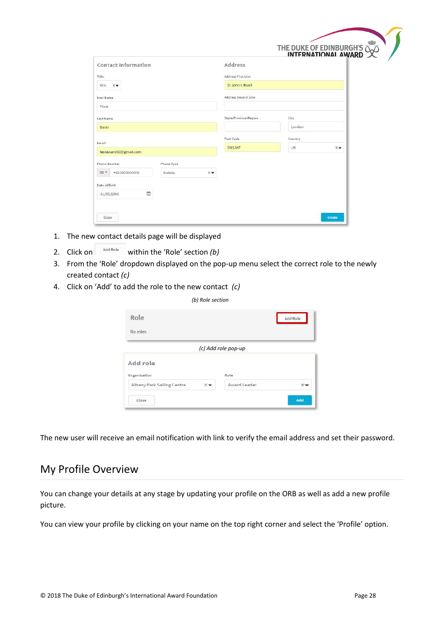|                            |            |                       | $\overline{\phantom{a}}$<br>THE DUKE OF EDINBURGH'S WINTERNATIONAL AWARD |    |
|----------------------------|------------|-----------------------|--------------------------------------------------------------------------|----|
| <b>Contact Information</b> |            | Address               |                                                                          |    |
| Title:                     |            | Address First Line    |                                                                          |    |
| Mrs. Xw                    |            | St John's Road        |                                                                          |    |
| First Name                 |            | Address Second Line   |                                                                          |    |
| Viola                      |            |                       |                                                                          |    |
| Last Name                  |            | State/Province/Region | City                                                                     |    |
| Davis                      |            |                       | London                                                                   |    |
| Email                      |            | Fost Code             | Country.                                                                 |    |
| testaward00@gmail.com      |            | SW13AP                | <b>UK</b>                                                                | XW |
| <b>Phone Number</b>        | Phone Type |                       |                                                                          |    |
| 田 +<br>+442000000000       | Mobile     | X w                   |                                                                          |    |
| Date of Birth              |            |                       |                                                                          |    |
| 曲<br>01/05/1980            |            |                       |                                                                          |    |

- 1. The new contact details page will be displayed
- 2. Click on  $\left[\begin{array}{cc} \n\frac{\text{Add Role}}{\text{Add Role}}\n\end{array}\right]$  within the 'Role' section *(b)*
- 3. From the 'Role' dropdown displayed on the pop-up menu select the correct role to the newly created contact *(c)*

*(b) Role section*

4. Click on 'Add' to add the role to the new contact *(c)*

| $10, 11010$ section<br>Role            |                     | Add Role |  |  |  |  |  |
|----------------------------------------|---------------------|----------|--|--|--|--|--|
| No roles                               |                     |          |  |  |  |  |  |
|                                        | (c) Add role pop-up |          |  |  |  |  |  |
| Add role                               |                     |          |  |  |  |  |  |
| Organisation                           | Role                |          |  |  |  |  |  |
| $\times$<br>Albany Park Sailing Centre | Award Leader        | $\times$ |  |  |  |  |  |
| Close:                                 |                     | Add      |  |  |  |  |  |

<span id="page-28-0"></span>The new user will receive an email notification with link to verify the email address and set their password.

### My Profile Overview

You can change your details at any stage by updating your profile on the ORB as well as add a new profile picture.

You can view your profile by clicking on your name on the top right corner and select the 'Profile' option.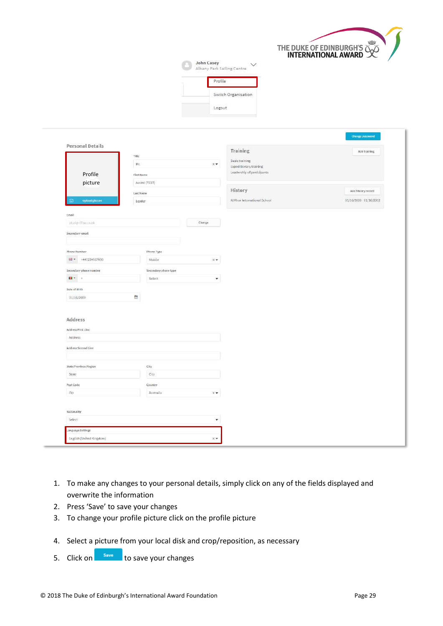

| John Casey<br>Albany Park Sailing Centre |
|------------------------------------------|
| Profile                                  |
| Switch Organisation                      |
| Logout                                   |

|                                                      |            |                      |                               | Training                     | Add training              |
|------------------------------------------------------|------------|----------------------|-------------------------------|------------------------------|---------------------------|
|                                                      | Title      |                      |                               | <b>Basic training</b>        |                           |
|                                                      | Mr.        |                      | $\times$                      | Expeditionary training       |                           |
| Profile                                              | First Name |                      |                               | Leadership of participants   |                           |
| picture                                              |            | Award (TEST)         |                               |                              |                           |
|                                                      | Last Name  |                      |                               | History                      | Add history record        |
| <b>Uplood picture</b><br>Ξñ                          | Leader     |                      |                               | Al Khor International School | $01/10/2008 - 01/10/2012$ |
| Email                                                |            |                      |                               |                              |                           |
| plcal@tifisis.co.uk                                  |            |                      | Change                        |                              |                           |
| Secondary email                                      |            |                      |                               |                              |                           |
|                                                      |            |                      |                               |                              |                           |
| Phone Number                                         |            | Phone Type           |                               |                              |                           |
| $\frac{12}{24}$ = +441234567890                      |            | Mobile               | $\times$ $\star$              |                              |                           |
| Secondary phone number                               |            | Secondary phone type |                               |                              |                           |
| ■▼ →                                                 |            | Select               | $\pmb{\mathrm{v}}$            |                              |                           |
| Date of Birth                                        |            |                      |                               |                              |                           |
| 01/10/2000                                           | 曲          |                      |                               |                              |                           |
|                                                      |            |                      |                               |                              |                           |
|                                                      |            |                      |                               |                              |                           |
|                                                      |            |                      |                               |                              |                           |
|                                                      |            |                      |                               |                              |                           |
|                                                      |            |                      |                               |                              |                           |
| Address                                              |            |                      |                               |                              |                           |
| Address<br>Address First Line<br>Address Second Line |            |                      |                               |                              |                           |
|                                                      |            |                      |                               |                              |                           |
| State/Province/Region                                |            | City.                |                               |                              |                           |
| State                                                |            | City                 |                               |                              |                           |
| Post Code                                            |            | Country              |                               |                              |                           |
| Zip                                                  |            | Australia            | $\times$ $\blacktriangledown$ |                              |                           |
|                                                      |            |                      |                               |                              |                           |
| Nationality                                          |            |                      |                               |                              |                           |
| Select                                               |            |                      | $\overline{\phantom{a}}$      |                              |                           |

- 1. To make any changes to your personal details, simply click on any of the fields displayed and overwrite the information
- 2. Press 'Save' to save your changes
- 3. To change your profile picture click on the profile picture
- 4. Select a picture from your local disk and crop/reposition, as necessary
- 5. Click on save to save your changes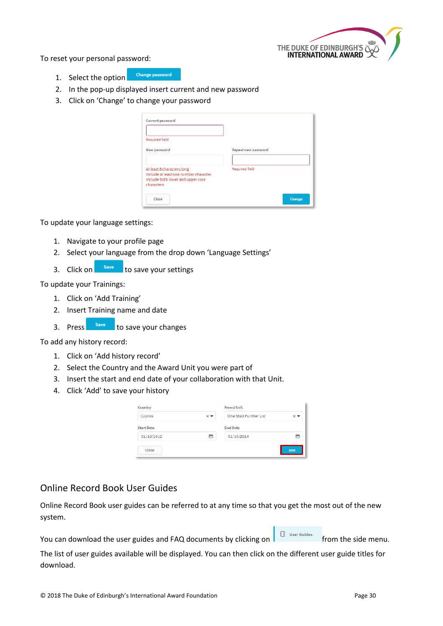

To reset your personal password:

- **Change password** 1. Select the option
- 2. In the pop-up displayed insert current and new password
- 3. Click on 'Change' to change your password

| Current password                                                                                                       |                     |
|------------------------------------------------------------------------------------------------------------------------|---------------------|
| Required field                                                                                                         |                     |
| New password                                                                                                           | Repeat new password |
| At least 8 characters long<br>Include at least one number character<br>Include both lower and upper case<br>characters | Required field      |
| $C0$ se                                                                                                                | Change              |

To update your language settings:

- 1. Navigate to your profile page
- 2. Select your language from the drop down 'Language Settings'
- 3. Click on  $\begin{array}{|c|c|} \hline \multicolumn{1}{l}{\text{save}} & \text{to save your settings} \hline \end{array}$

To update your Trainings:

- 1. Click on 'Add Training'
- 2. Insert Training name and date
- 3. Press save to save your changes

To add any history record:

- 1. Click on 'Add history record'
- 2. Select the Country and the Award Unit you were part of
- 3. Insert the start and end date of your collaboration with that Unit.
- 4. Click 'Add' to save your history

| Country           |         | Award Unit           |     |
|-------------------|---------|----------------------|-----|
| Cyprus            |         | One Step Further Ltd |     |
| <b>Start Date</b> |         | End Date             |     |
| 01/10/2012        | m<br>-- | 01/10/2014           | 侖   |
| Close             |         |                      | Add |

### <span id="page-30-0"></span>Online Record Book User Guides

Online Record Book user guides can be referred to at any time so that you get the most out of the new system.

You can download the user guides and FAQ documents by clicking on  $\Box$  User Guides from the side menu.

The list of user guides available will be displayed. You can then click on the different user guide titles for download.